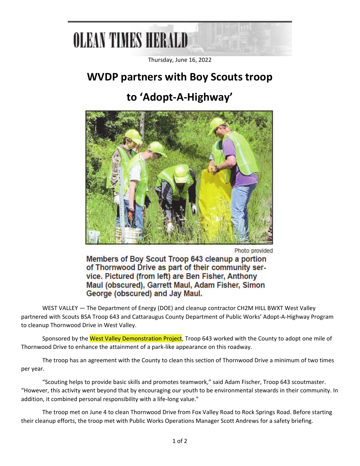## **OLBAN TIMES HERALD**

Thursday, June 16, 2022

#### **WVDP partners with Boy Scouts troop**

### **to 'Adopt‐A‐Highway'**



Photo provided

Members of Boy Scout Troop 643 cleanup a portion of Thornwood Drive as part of their community service, Pictured (from left) are Ben Fisher, Anthony Maul (obscured), Garrett Maul, Adam Fisher, Simon George (obscured) and Jay Maul.

WEST VALLEY — The Department of Energy (DOE) and cleanup contractor CH2M HILL BWXT West Valley partnered with Scouts BSA Troop 643 and Cattaraugus County Department of Public Works' Adopt‐A‐Highway Program to cleanup Thornwood Drive in West Valley.

Sponsored by the West Valley Demonstration Project, Troop 643 worked with the County to adopt one mile of Thornwood Drive to enhance the attainment of a park‐like appearance on this roadway.

The troop has an agreement with the County to clean this section of Thornwood Drive a minimum of two times per year.

"Scouting helps to provide basic skills and promotes teamwork," said Adam Fischer, Troop 643 scoutmaster. "However, this activity went beyond that by encouraging our youth to be environmental stewards in their community. In addition, it combined personal responsibility with a life-long value."

The troop met on June 4 to clean Thornwood Drive from Fox Valley Road to Rock Springs Road. Before starting their cleanup efforts, the troop met with Public Works Operations Manager Scott Andrews for a safety briefing.